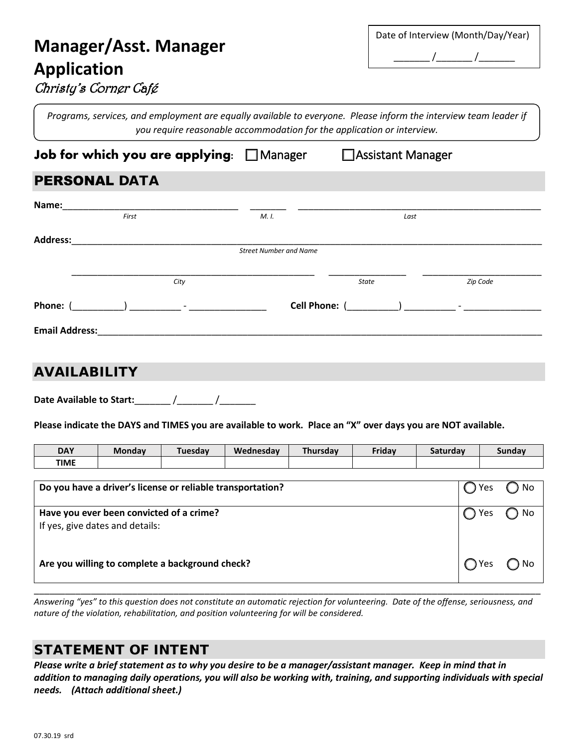# **Manager/Asst. Manager Application** Christy's Corner Café

| Date of Interview (Month/Day/Year) |  |  |  |
|------------------------------------|--|--|--|
|                                    |  |  |  |

*Programs, services, and employment are equally available to everyone. Please inform the interview team leader if you require reasonable accommodation for the application or interview.*

| Job for which you are applying: $\Box$ Manager | □ Assistant Manager |
|------------------------------------------------|---------------------|
|                                                |                     |

#### PERSONAL DATA

| Name:                 |                                                                                                                                                                                                                                                                                                                                    |      |                               |                          |                             |
|-----------------------|------------------------------------------------------------------------------------------------------------------------------------------------------------------------------------------------------------------------------------------------------------------------------------------------------------------------------------|------|-------------------------------|--------------------------|-----------------------------|
|                       | First                                                                                                                                                                                                                                                                                                                              |      | M. I.                         | Last                     |                             |
| <b>Address:</b>       |                                                                                                                                                                                                                                                                                                                                    |      |                               |                          |                             |
|                       |                                                                                                                                                                                                                                                                                                                                    |      | <b>Street Number and Name</b> |                          |                             |
|                       |                                                                                                                                                                                                                                                                                                                                    |      |                               |                          |                             |
|                       |                                                                                                                                                                                                                                                                                                                                    | City |                               | <b>State</b>             | Zip Code                    |
| Phone: (              | $\overline{a}$ and $\overline{a}$ and $\overline{a}$ and $\overline{a}$ and $\overline{a}$ and $\overline{a}$ and $\overline{a}$ and $\overline{a}$ and $\overline{a}$ and $\overline{a}$ and $\overline{a}$ and $\overline{a}$ and $\overline{a}$ and $\overline{a}$ and $\overline{a}$ and $\overline{a}$ and $\overline{a}$ and |      | Cell Phone: (                 | $\overline{\phantom{a}}$ | $\mathcal{F} = \mathcal{F}$ |
| <b>Email Address:</b> |                                                                                                                                                                                                                                                                                                                                    |      |                               |                          |                             |

#### AVAILABILITY

Date Available to Start: \_\_\_\_\_\_\_ /\_\_\_\_\_\_\_ /

**Please indicate the DAYS and TIMES you are available to work. Place an "X" over days you are NOT available.**

| <b>DAY</b>                                                 | <b>Monday</b>                                   | Tuesday | Wednesday | Thursday | Friday | Saturday |       | Sunday |
|------------------------------------------------------------|-------------------------------------------------|---------|-----------|----------|--------|----------|-------|--------|
| <b>TIME</b>                                                |                                                 |         |           |          |        |          |       |        |
|                                                            |                                                 |         |           |          |        |          |       |        |
| Do you have a driver's license or reliable transportation? |                                                 |         |           |          |        |          | ◯ Yes | ) No   |
|                                                            |                                                 |         |           |          |        |          |       |        |
| Have you ever been convicted of a crime?                   |                                                 |         |           |          |        |          | Yes   | No     |
|                                                            | If yes, give dates and details:                 |         |           |          |        |          |       |        |
|                                                            |                                                 |         |           |          |        |          |       |        |
|                                                            |                                                 |         |           |          |        |          |       |        |
|                                                            | Are you willing to complete a background check? |         |           |          |        |          | ◯ Yes | No     |
|                                                            |                                                 |         |           |          |        |          |       |        |

\_\_\_\_\_\_\_\_\_\_\_\_\_\_\_\_\_\_\_\_\_\_\_\_\_\_\_\_\_\_\_\_\_\_\_\_\_\_\_\_\_\_\_\_\_\_\_\_\_\_\_\_\_\_\_\_\_\_\_\_\_\_\_\_\_\_\_\_\_\_\_\_\_\_\_\_\_\_\_\_\_\_\_\_\_\_\_\_\_\_\_\_\_\_\_\_\_\_ *Answering "yes" to this question does not constitute an automatic rejection for volunteering. Date of the offense, seriousness, and nature of the violation, rehabilitation, and position volunteering for will be considered.*

#### STATEMENT OF INTENT

*Please write a brief statement as to why you desire to be a manager/assistant manager. Keep in mind that in addition to managing daily operations, you will also be working with, training, and supporting individuals with special needs. (Attach additional sheet.)*